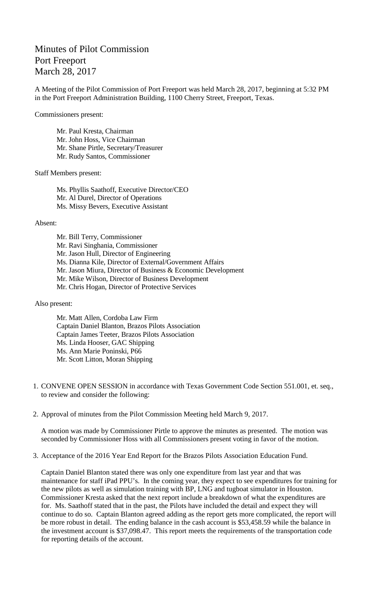## Minutes of Pilot Commission Port Freeport March 28, 2017

A Meeting of the Pilot Commission of Port Freeport was held March 28, 2017, beginning at 5:32 PM in the Port Freeport Administration Building, 1100 Cherry Street, Freeport, Texas.

Commissioners present:

Mr. Paul Kresta, Chairman Mr. John Hoss, Vice Chairman Mr. Shane Pirtle, Secretary/Treasurer Mr. Rudy Santos, Commissioner

Staff Members present:

Ms. Phyllis Saathoff, Executive Director/CEO Mr. Al Durel, Director of Operations Ms. Missy Bevers, Executive Assistant

Absent:

Mr. Bill Terry, Commissioner Mr. Ravi Singhania, Commissioner Mr. Jason Hull, Director of Engineering Ms. Dianna Kile, Director of External/Government Affairs Mr. Jason Miura, Director of Business & Economic Development Mr. Mike Wilson, Director of Business Development Mr. Chris Hogan, Director of Protective Services

Also present:

Mr. Matt Allen, Cordoba Law Firm Captain Daniel Blanton, Brazos Pilots Association Captain James Teeter, Brazos Pilots Association Ms. Linda Hooser, GAC Shipping Ms. Ann Marie Poninski, P66 Mr. Scott Litton, Moran Shipping

- 1. CONVENE OPEN SESSION in accordance with Texas Government Code Section 551.001, et. seq., to review and consider the following:
- 2. Approval of minutes from the Pilot Commission Meeting held March 9, 2017.

A motion was made by Commissioner Pirtle to approve the minutes as presented. The motion was seconded by Commissioner Hoss with all Commissioners present voting in favor of the motion.

3. Acceptance of the 2016 Year End Report for the Brazos Pilots Association Education Fund.

Captain Daniel Blanton stated there was only one expenditure from last year and that was maintenance for staff iPad PPU's. In the coming year, they expect to see expenditures for training for the new pilots as well as simulation training with BP, LNG and tugboat simulator in Houston. Commissioner Kresta asked that the next report include a breakdown of what the expenditures are for. Ms. Saathoff stated that in the past, the Pilots have included the detail and expect they will continue to do so. Captain Blanton agreed adding as the report gets more complicated, the report will be more robust in detail. The ending balance in the cash account is \$53,458.59 while the balance in the investment account is \$37,098.47. This report meets the requirements of the transportation code for reporting details of the account.